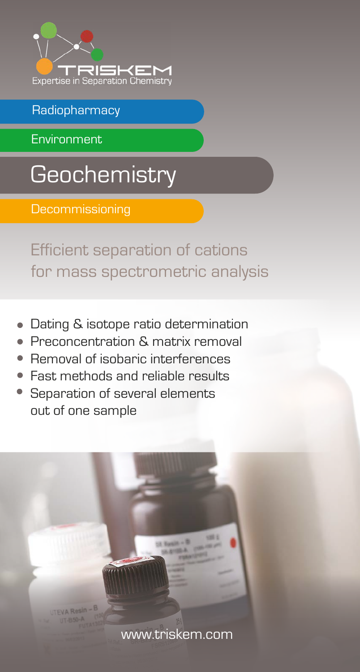

## **Radiopharmacy**

Environment

**Geochemistry** 

**Decommissioning** 

Efficient separation of cations for mass spectrometric analysis

- Dating & isotope ratio determination
- Preconcentration & matrix removal
- Removal of isobaric interferences
- Fast methods and reliable results
- Separation of several elements out of one sample

**EVA Resin** 

<www.triskem.com>

 $E_{2002}$